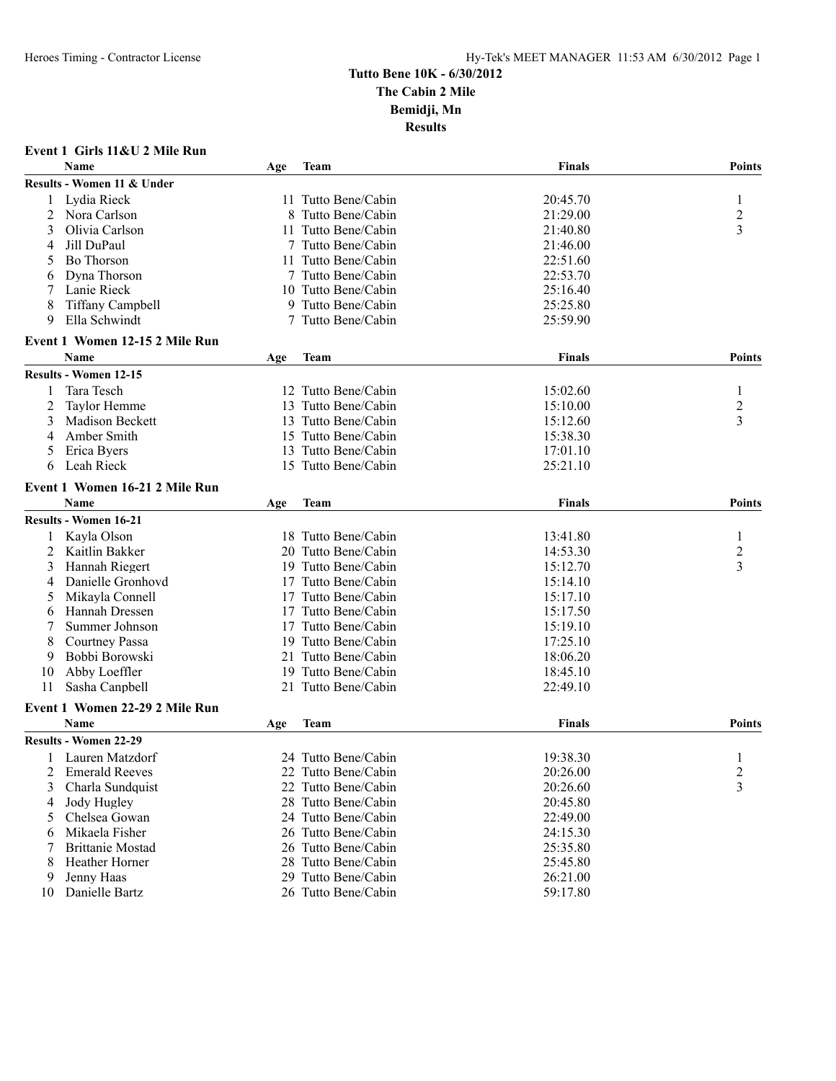|    | Event 1 Girls 11&U 2 Mile Run  |     |                     |               |                         |
|----|--------------------------------|-----|---------------------|---------------|-------------------------|
|    | <b>Name</b>                    | Age | Team                | <b>Finals</b> | <b>Points</b>           |
|    | Results - Women 11 & Under     |     |                     |               |                         |
| 1  | Lydia Rieck                    |     | 11 Tutto Bene/Cabin | 20:45.70      | 1                       |
| 2  | Nora Carlson                   | 8   | Tutto Bene/Cabin    | 21:29.00      | $\overline{c}$          |
| 3  | Olivia Carlson                 |     | 11 Tutto Bene/Cabin | 21:40.80      | 3                       |
| 4  | Jill DuPaul                    |     | 7 Tutto Bene/Cabin  | 21:46.00      |                         |
| 5  | <b>Bo Thorson</b>              | 11  | Tutto Bene/Cabin    | 22:51.60      |                         |
| 6  | Dyna Thorson                   |     | 7 Tutto Bene/Cabin  | 22:53.70      |                         |
| 7  | Lanie Rieck                    |     | 10 Tutto Bene/Cabin | 25:16.40      |                         |
| 8  | <b>Tiffany Campbell</b>        |     | 9 Tutto Bene/Cabin  | 25:25.80      |                         |
| 9  | Ella Schwindt                  |     | 7 Tutto Bene/Cabin  | 25:59.90      |                         |
|    | Event 1 Women 12-15 2 Mile Run |     |                     |               |                         |
|    | <b>Name</b>                    | Age | Team                | Finals        | Points                  |
|    | <b>Results - Women 12-15</b>   |     |                     |               |                         |
| 1  | Tara Tesch                     |     | 12 Tutto Bene/Cabin | 15:02.60      | 1                       |
| 2  | Taylor Hemme                   | 13  | Tutto Bene/Cabin    | 15:10.00      | $\overline{c}$          |
| 3  | Madison Beckett                |     | 13 Tutto Bene/Cabin | 15:12.60      | 3                       |
| 4  | Amber Smith                    |     | 15 Tutto Bene/Cabin | 15:38.30      |                         |
| 5  | Erica Byers                    |     | 13 Tutto Bene/Cabin | 17:01.10      |                         |
| 6  | Leah Rieck                     |     | 15 Tutto Bene/Cabin | 25:21.10      |                         |
|    | Event 1 Women 16-21 2 Mile Run |     |                     |               |                         |
|    | <b>Name</b>                    | Age | <b>Team</b>         | <b>Finals</b> | <b>Points</b>           |
|    | <b>Results - Women 16-21</b>   |     |                     |               |                         |
| 1  | Kayla Olson                    |     | 18 Tutto Bene/Cabin | 13:41.80      | 1                       |
| 2  | Kaitlin Bakker                 |     | 20 Tutto Bene/Cabin | 14:53.30      | 2                       |
| 3  | Hannah Riegert                 |     | 19 Tutto Bene/Cabin | 15:12.70      | 3                       |
| 4  | Danielle Gronhovd              |     | 17 Tutto Bene/Cabin | 15:14.10      |                         |
| 5  | Mikayla Connell                | 17  | Tutto Bene/Cabin    | 15:17.10      |                         |
| 6  | Hannah Dressen                 | 17  | Tutto Bene/Cabin    | 15:17.50      |                         |
| 7  | Summer Johnson                 |     | 17 Tutto Bene/Cabin | 15:19.10      |                         |
| 8  | <b>Courtney Passa</b>          |     | 19 Tutto Bene/Cabin | 17:25.10      |                         |
| 9  | Bobbi Borowski                 | 21  | Tutto Bene/Cabin    | 18:06.20      |                         |
| 10 | Abby Loeffler                  |     | 19 Tutto Bene/Cabin | 18:45.10      |                         |
| 11 | Sasha Canpbell                 |     | 21 Tutto Bene/Cabin | 22:49.10      |                         |
|    | Event 1 Women 22-29 2 Mile Run |     |                     |               |                         |
|    | Name                           | Age | Team                | <b>Finals</b> | <b>Points</b>           |
|    | <b>Results - Women 22-29</b>   |     |                     |               |                         |
| 1  | Lauren Matzdorf                |     | 24 Tutto Bene/Cabin | 19:38.30      | $\mathbf{1}$            |
| 2  | <b>Emerald Reeves</b>          |     | 22 Tutto Bene/Cabin | 20:26.00      | $\overline{\mathbf{c}}$ |
| 3  | Charla Sundquist               |     | 22 Tutto Bene/Cabin | 20:26.60      | 3                       |
| 4  | Jody Hugley                    |     | 28 Tutto Bene/Cabin | 20:45.80      |                         |
| 5  | Chelsea Gowan                  |     | 24 Tutto Bene/Cabin | 22:49.00      |                         |
| 6  | Mikaela Fisher                 |     | 26 Tutto Bene/Cabin | 24:15.30      |                         |
| 7  | <b>Brittanie Mostad</b>        |     | 26 Tutto Bene/Cabin | 25:35.80      |                         |
| 8  | Heather Horner                 |     | 28 Tutto Bene/Cabin | 25:45.80      |                         |
| 9  | Jenny Haas                     |     | 29 Tutto Bene/Cabin | 26:21.00      |                         |
| 10 | Danielle Bartz                 |     | 26 Tutto Bene/Cabin | 59:17.80      |                         |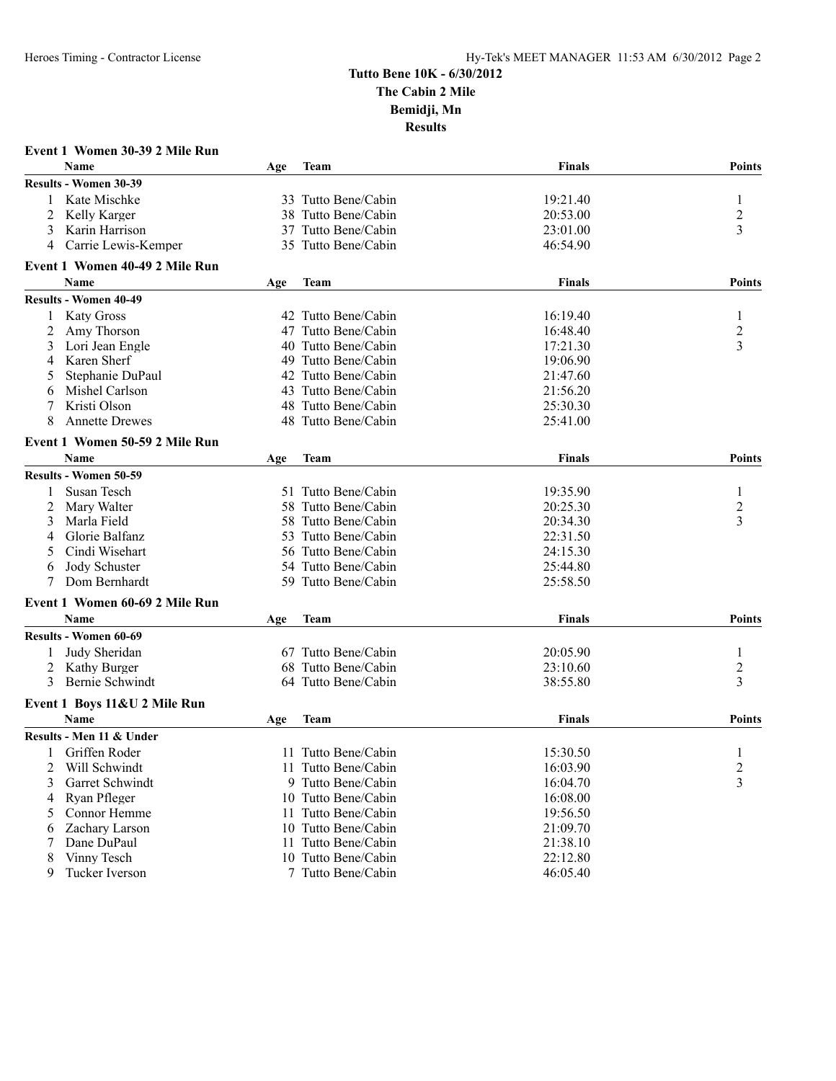|   | Event 1 Women 30-39 2 Mile Run |     |                     |               |                         |
|---|--------------------------------|-----|---------------------|---------------|-------------------------|
|   | <b>Name</b>                    | Age | Team                | Finals        | <b>Points</b>           |
|   | <b>Results - Women 30-39</b>   |     |                     |               |                         |
| 1 | Kate Mischke                   |     | 33 Tutto Bene/Cabin | 19:21.40      | 1                       |
| 2 | Kelly Karger                   |     | 38 Tutto Bene/Cabin | 20:53.00      | $\overline{c}$          |
| 3 | Karin Harrison                 |     | 37 Tutto Bene/Cabin | 23:01.00      | 3                       |
| 4 | Carrie Lewis-Kemper            |     | 35 Tutto Bene/Cabin | 46:54.90      |                         |
|   | Event 1 Women 40-49 2 Mile Run |     |                     |               |                         |
|   | <b>Name</b>                    | Age | Team                | <b>Finals</b> | <b>Points</b>           |
|   | <b>Results - Women 40-49</b>   |     |                     |               |                         |
| 1 | <b>Katy Gross</b>              |     | 42 Tutto Bene/Cabin | 16:19.40      | 1                       |
| 2 | Amy Thorson                    | 47  | Tutto Bene/Cabin    | 16:48.40      | $\overline{c}$          |
| 3 | Lori Jean Engle                |     | 40 Tutto Bene/Cabin | 17:21.30      | 3                       |
| 4 | Karen Sherf                    |     | 49 Tutto Bene/Cabin | 19:06.90      |                         |
| 5 | Stephanie DuPaul               |     | 42 Tutto Bene/Cabin | 21:47.60      |                         |
| 6 | Mishel Carlson                 |     | 43 Tutto Bene/Cabin | 21:56.20      |                         |
| 7 | Kristi Olson                   |     | 48 Tutto Bene/Cabin | 25:30.30      |                         |
| 8 | <b>Annette Drewes</b>          |     | 48 Tutto Bene/Cabin | 25:41.00      |                         |
|   | Event 1 Women 50-59 2 Mile Run |     |                     |               |                         |
|   | <b>Name</b>                    | Age | Team                | <b>Finals</b> | <b>Points</b>           |
|   | <b>Results - Women 50-59</b>   |     |                     |               |                         |
|   | Susan Tesch                    |     | 51 Tutto Bene/Cabin | 19:35.90      | 1                       |
| 2 | Mary Walter                    |     | 58 Tutto Bene/Cabin | 20:25.30      | $\overline{c}$          |
| 3 | Marla Field                    |     | 58 Tutto Bene/Cabin | 20:34.30      | 3                       |
| 4 | Glorie Balfanz                 | 53  | Tutto Bene/Cabin    | 22:31.50      |                         |
| 5 | Cindi Wisehart                 |     | 56 Tutto Bene/Cabin | 24:15.30      |                         |
| 6 | Jody Schuster                  |     | 54 Tutto Bene/Cabin | 25:44.80      |                         |
| 7 | Dom Bernhardt                  |     | 59 Tutto Bene/Cabin | 25:58.50      |                         |
|   | Event 1 Women 60-69 2 Mile Run |     |                     |               |                         |
|   | <b>Name</b>                    | Age | Team                | <b>Finals</b> | <b>Points</b>           |
|   | <b>Results - Women 60-69</b>   |     |                     |               |                         |
| 1 | Judy Sheridan                  |     | 67 Tutto Bene/Cabin | 20:05.90      | 1                       |
|   | 2 Kathy Burger                 |     | 68 Tutto Bene/Cabin | 23:10.60      | $\overline{c}$          |
| 3 | Bernie Schwindt                |     | 64 Tutto Bene/Cabin | 38:55.80      | 3                       |
|   | Event 1 Boys 11&U 2 Mile Run   |     |                     |               |                         |
|   | <b>Name</b>                    | Age | Team                | <b>Finals</b> | <b>Points</b>           |
|   | Results - Men 11 & Under       |     |                     |               |                         |
|   | 1 Griffen Roder                |     | 11 Tutto Bene/Cabin | 15:30.50      | 1                       |
| 2 | Will Schwindt                  |     | 11 Tutto Bene/Cabin | 16:03.90      | $\overline{\mathbf{c}}$ |
| 3 | Garret Schwindt                |     | 9 Tutto Bene/Cabin  | 16:04.70      | 3                       |
| 4 | Ryan Pfleger                   |     | 10 Tutto Bene/Cabin | 16:08.00      |                         |
| 5 | Connor Hemme                   |     | 11 Tutto Bene/Cabin | 19:56.50      |                         |
| 6 | Zachary Larson                 |     | 10 Tutto Bene/Cabin | 21:09.70      |                         |
| 7 | Dane DuPaul                    | 11  | Tutto Bene/Cabin    | 21:38.10      |                         |
| 8 | Vinny Tesch                    |     | 10 Tutto Bene/Cabin | 22:12.80      |                         |
| 9 | Tucker Iverson                 |     | 7 Tutto Bene/Cabin  | 46:05.40      |                         |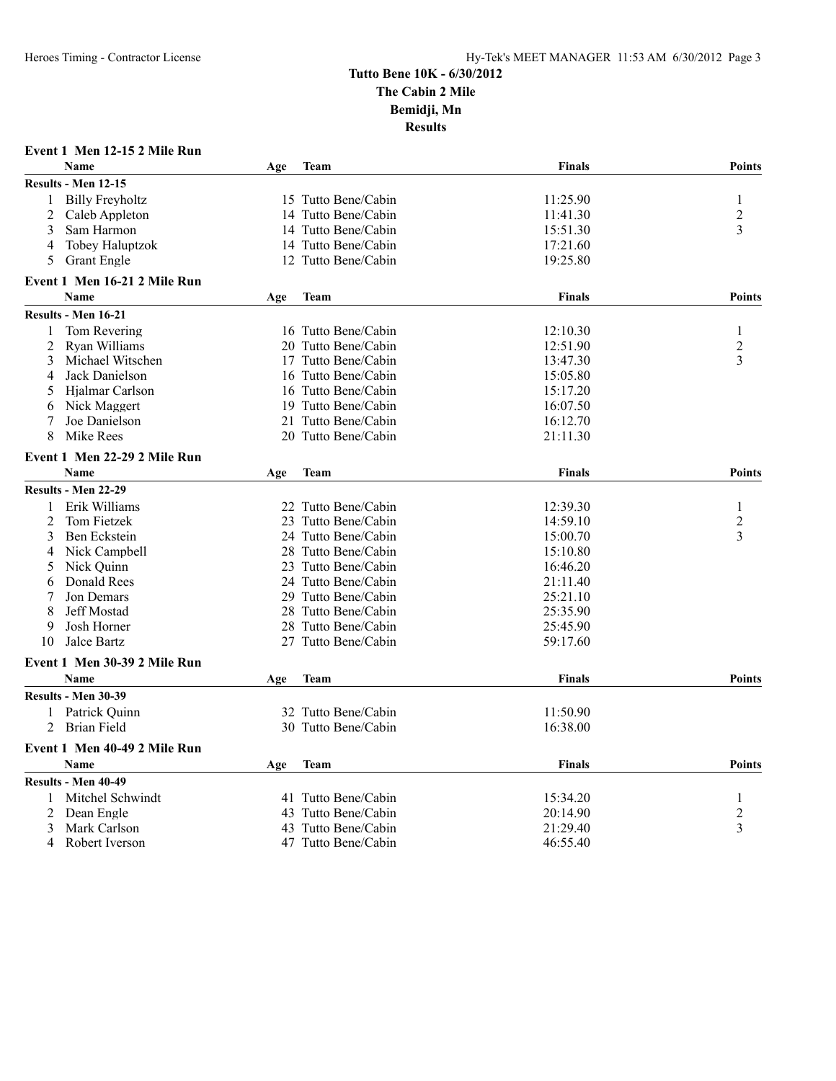|                | Event 1 Men 12-15 2 Mile Run |     |                     |               |                |
|----------------|------------------------------|-----|---------------------|---------------|----------------|
|                | <b>Name</b>                  | Age | <b>Team</b>         | <b>Finals</b> | Points         |
|                | Results - Men 12-15          |     |                     |               |                |
| 1              | <b>Billy Freyholtz</b>       |     | 15 Tutto Bene/Cabin | 11:25.90      | 1              |
| 2              | Caleb Appleton               | 14  | Tutto Bene/Cabin    | 11:41.30      | 2              |
| 3              | Sam Harmon                   |     | 14 Tutto Bene/Cabin | 15:51.30      | 3              |
| 4              | <b>Tobey Haluptzok</b>       |     | 14 Tutto Bene/Cabin | 17:21.60      |                |
| 5              | <b>Grant Engle</b>           |     | 12 Tutto Bene/Cabin | 19:25.80      |                |
|                | Event 1 Men 16-21 2 Mile Run |     |                     |               |                |
|                | Name                         | Age | <b>Team</b>         | <b>Finals</b> | <b>Points</b>  |
|                | Results - Men 16-21          |     |                     |               |                |
| 1              | Tom Revering                 |     | 16 Tutto Bene/Cabin | 12:10.30      | 1              |
| $\overline{2}$ | Ryan Williams                |     | 20 Tutto Bene/Cabin | 12:51.90      | $\overline{c}$ |
| 3              | Michael Witschen             |     | 17 Tutto Bene/Cabin | 13:47.30      | 3              |
| 4              | Jack Danielson               |     | 16 Tutto Bene/Cabin | 15:05.80      |                |
| 5              | Hjalmar Carlson              |     | 16 Tutto Bene/Cabin | 15:17.20      |                |
| 6              | Nick Maggert                 |     | 19 Tutto Bene/Cabin | 16:07.50      |                |
| 7              | Joe Danielson                |     | 21 Tutto Bene/Cabin | 16:12.70      |                |
| 8              | Mike Rees                    |     | 20 Tutto Bene/Cabin | 21:11.30      |                |
|                | Event 1 Men 22-29 2 Mile Run |     |                     |               |                |
|                | <b>Name</b>                  | Age | Team                | <b>Finals</b> | Points         |
|                | Results - Men 22-29          |     |                     |               |                |
| 1              | Erik Williams                |     | 22 Tutto Bene/Cabin | 12:39.30      | 1              |
| $\overline{2}$ | Tom Fietzek                  |     | 23 Tutto Bene/Cabin | 14:59.10      | 2              |
| 3              | Ben Eckstein                 |     | 24 Tutto Bene/Cabin | 15:00.70      | 3              |
| 4              | Nick Campbell                |     | 28 Tutto Bene/Cabin | 15:10.80      |                |
| 5              | Nick Quinn                   |     | 23 Tutto Bene/Cabin | 16:46.20      |                |
| 6              | Donald Rees                  |     | 24 Tutto Bene/Cabin | 21:11.40      |                |
| 7              | Jon Demars                   |     | 29 Tutto Bene/Cabin | 25:21.10      |                |
| 8              | <b>Jeff Mostad</b>           |     | 28 Tutto Bene/Cabin | 25:35.90      |                |
| 9              | Josh Horner                  |     | 28 Tutto Bene/Cabin | 25:45.90      |                |
| 10             | Jalce Bartz                  |     | 27 Tutto Bene/Cabin | 59:17.60      |                |
|                | Event 1 Men 30-39 2 Mile Run |     |                     |               |                |
|                | Name                         | Age | Team                | <b>Finals</b> | <b>Points</b>  |
|                | Results - Men 30-39          |     |                     |               |                |
|                | 1 Patrick Ouinn              |     | 32 Tutto Bene/Cabin | 11:50.90      |                |
| 2              | <b>Brian Field</b>           |     | 30 Tutto Bene/Cabin | 16:38.00      |                |
|                | Event 1 Men 40-49 2 Mile Run |     |                     |               |                |
|                | Name                         | Age | <b>Team</b>         | <b>Finals</b> | <b>Points</b>  |
|                | <b>Results - Men 40-49</b>   |     |                     |               |                |
| 1              | Mitchel Schwindt             |     | 41 Tutto Bene/Cabin | 15:34.20      | 1              |
| $\overline{c}$ | Dean Engle                   |     | 43 Tutto Bene/Cabin | 20:14.90      | 2              |
| 3              | Mark Carlson                 |     | 43 Tutto Bene/Cabin | 21:29.40      | 3              |
| 4              | Robert Iverson               |     | 47 Tutto Bene/Cabin | 46:55.40      |                |